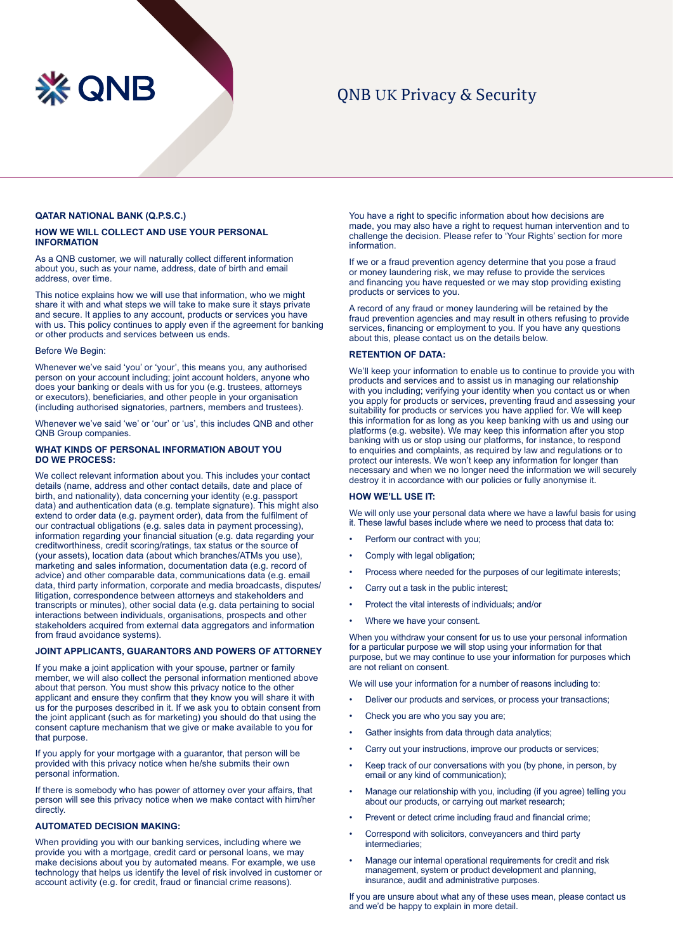

# QNB UK Privacy & Security

# **QATAR NATIONAL BANK (Q.P.S.C.)**

# **HOW WE WILL COLLECT AND USE YOUR PERSONAL INFORMATION**

As a QNB customer, we will naturally collect different information about you, such as your name, address, date of birth and email address, over time.

This notice explains how we will use that information, who we might share it with and what steps we will take to make sure it stays private and secure. It applies to any account, products or services you have with us. This policy continues to apply even if the agreement for banking or other products and services between us ends.

#### Before We Begin:

Whenever we've said 'you' or 'your', this means you, any authorised person on your account including; joint account holders, anyone who does your banking or deals with us for you (e.g. trustees, attorneys or executors), beneficiaries, and other people in your organisation (including authorised signatories, partners, members and trustees).

Whenever we've said 'we' or 'our' or 'us', this includes QNB and other QNB Group companies.

### **WHAT KINDS OF PERSONAL INFORMATION ABOUT YOU DO WE PROCESS:**

We collect relevant information about you. This includes your contact details (name, address and other contact details, date and place of birth, and nationality), data concerning your identity (e.g. passport data) and authentication data (e.g. template signature). This might also extend to order data (e.g. payment order), data from the fulfilment of our contractual obligations (e.g. sales data in payment processing), information regarding your financial situation (e.g. data regarding your creditworthiness, credit scoring/ratings, tax status or the source of (your assets), location data (about which branches/ATMs you use), marketing and sales information, documentation data (e.g. record of advice) and other comparable data, communications data (e.g. email data, third party information, corporate and media broadcasts, disputes/ litigation, correspondence between attorneys and stakeholders and transcripts or minutes), other social data (e.g. data pertaining to social interactions between individuals, organisations, prospects and other stakeholders acquired from external data aggregators and information from fraud avoidance systems).

# **JOINT APPLICANTS, GUARANTORS AND POWERS OF ATTORNEY**

If you make a joint application with your spouse, partner or family member, we will also collect the personal information mentioned above about that person. You must show this privacy notice to the other applicant and ensure they confirm that they know you will share it with us for the purposes described in it. If we ask you to obtain consent from the joint applicant (such as for marketing) you should do that using the consent capture mechanism that we give or make available to you for that purpose.

If you apply for your mortgage with a guarantor, that person will be provided with this privacy notice when he/she submits their own personal information.

If there is somebody who has power of attorney over your affairs, that person will see this privacy notice when we make contact with him/her directly.

# **AUTOMATED DECISION MAKING:**

When providing you with our banking services, including where we provide you with a mortgage, credit card or personal loans, we may make decisions about you by automated means. For example, we use technology that helps us identify the level of risk involved in customer or account activity (e.g. for credit, fraud or financial crime reasons).

You have a right to specific information about how decisions are made, you may also have a right to request human intervention and to challenge the decision. Please refer to 'Your Rights' section for more information.

If we or a fraud prevention agency determine that you pose a fraud or money laundering risk, we may refuse to provide the services and financing you have requested or we may stop providing existing products or services to you.

A record of any fraud or money laundering will be retained by the fraud prevention agencies and may result in others refusing to provide services, financing or employment to you. If you have any questions about this, please contact us on the details below.

### **RETENTION OF DATA:**

We'll keep your information to enable us to continue to provide you with products and services and to assist us in managing our relationship with you including; verifying your identity when you contact us or when you apply for products or services, preventing fraud and assessing your suitability for products or services you have applied for. We will keep this information for as long as you keep banking with us and using our platforms (e.g. website). We may keep this information after you stop banking with us or stop using our platforms, for instance, to respond to enquiries and complaints, as required by law and regulations or to protect our interests. We won't keep any information for longer than necessary and when we no longer need the information we will securely destroy it in accordance with our policies or fully anonymise it.

### **HOW WE'LL USE IT:**

We will only use your personal data where we have a lawful basis for using it. These lawful bases include where we need to process that data to:

- Perform our contract with you:
- Comply with legal obligation;
- Process where needed for the purposes of our legitimate interests;
- Carry out a task in the public interest;
- Protect the vital interests of individuals; and/or
- Where we have your consent.

When you withdraw your consent for us to use your personal information for a particular purpose we will stop using your information for that purpose, but we may continue to use your information for purposes which are not reliant on consent.

We will use your information for a number of reasons including to:

- Deliver our products and services, or process your transactions;
- Check you are who you say you are;
- Gather insights from data through data analytics;
- Carry out your instructions, improve our products or services:
- Keep track of our conversations with you (by phone, in person, by email or any kind of communication);
- Manage our relationship with you, including (if you agree) telling you about our products, or carrying out market research;
- Prevent or detect crime including fraud and financial crime;
- Correspond with solicitors, conveyancers and third party intermediaries;
- Manage our internal operational requirements for credit and risk management, system or product development and planning, insurance, audit and administrative purposes.

If you are unsure about what any of these uses mean, please contact us and we'd be happy to explain in more detail.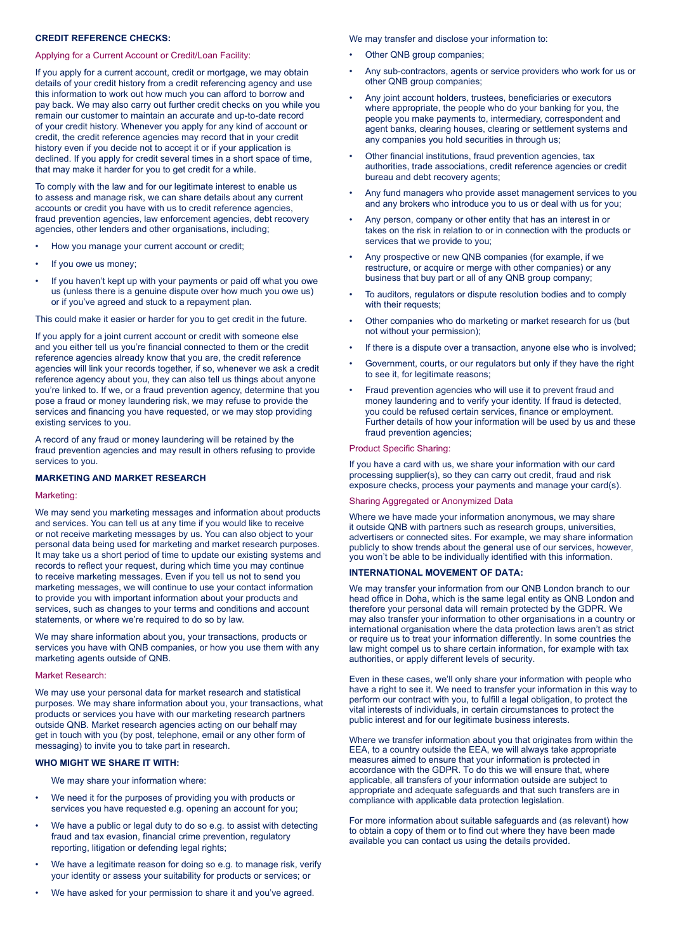# **CREDIT REFERENCE CHECKS:**

### Applying for a Current Account or Credit/Loan Facility:

If you apply for a current account, credit or mortgage, we may obtain details of your credit history from a credit referencing agency and use this information to work out how much you can afford to borrow and pay back. We may also carry out further credit checks on you while you remain our customer to maintain an accurate and up-to-date record of your credit history. Whenever you apply for any kind of account or credit, the credit reference agencies may record that in your credit history even if you decide not to accept it or if your application is declined. If you apply for credit several times in a short space of time, that may make it harder for you to get credit for a while.

To comply with the law and for our legitimate interest to enable us to assess and manage risk, we can share details about any current accounts or credit you have with us to credit reference agencies, fraud prevention agencies, law enforcement agencies, debt recovery agencies, other lenders and other organisations, including;

- How you manage your current account or credit;
- If you owe us money;
- If you haven't kept up with your payments or paid off what you owe us (unless there is a genuine dispute over how much you owe us) or if you've agreed and stuck to a repayment plan.

This could make it easier or harder for you to get credit in the future.

If you apply for a joint current account or credit with someone else and you either tell us you're financial connected to them or the credit reference agencies already know that you are, the credit reference agencies will link your records together, if so, whenever we ask a credit reference agency about you, they can also tell us things about anyone you're linked to. If we, or a fraud prevention agency, determine that you pose a fraud or money laundering risk, we may refuse to provide the services and financing you have requested, or we may stop providing existing services to you.

A record of any fraud or money laundering will be retained by the fraud prevention agencies and may result in others refusing to provide services to you.

# **MARKETING AND MARKET RESEARCH**

#### Marketing:

We may send you marketing messages and information about products and services. You can tell us at any time if you would like to receive or not receive marketing messages by us. You can also object to your personal data being used for marketing and market research purposes. It may take us a short period of time to update our existing systems and records to reflect your request, during which time you may continue to receive marketing messages. Even if you tell us not to send you marketing messages, we will continue to use your contact information to provide you with important information about your products and services, such as changes to your terms and conditions and account statements, or where we're required to do so by law.

We may share information about you, your transactions, products or services you have with QNB companies, or how you use them with any marketing agents outside of QNB.

### Market Research:

We may use your personal data for market research and statistical purposes. We may share information about you, your transactions, what products or services you have with our marketing research partners outside QNB. Market research agencies acting on our behalf may get in touch with you (by post, telephone, email or any other form of messaging) to invite you to take part in research.

# **WHO MIGHT WE SHARE IT WITH:**

We may share your information where:

- We need it for the purposes of providing you with products or services you have requested e.g. opening an account for you;
- We have a public or legal duty to do so e.g. to assist with detecting fraud and tax evasion, financial crime prevention, regulatory reporting, litigation or defending legal rights;
- We have a legitimate reason for doing so e.g. to manage risk, verify your identity or assess your suitability for products or services; or
- We have asked for your permission to share it and you've agreed.

We may transfer and disclose your information to:

- Other QNB group companies:
- Any sub-contractors, agents or service providers who work for us or other QNB group companies;
- Any joint account holders, trustees, beneficiaries or executors where appropriate, the people who do your banking for you, the people you make payments to, intermediary, correspondent and agent banks, clearing houses, clearing or settlement systems and any companies you hold securities in through us;
- Other financial institutions, fraud prevention agencies, tax authorities, trade associations, credit reference agencies or credit bureau and debt recovery agents;
- Any fund managers who provide asset management services to you and any brokers who introduce you to us or deal with us for you;
- Any person, company or other entity that has an interest in or takes on the risk in relation to or in connection with the products or services that we provide to you;
- Any prospective or new QNB companies (for example, if we restructure, or acquire or merge with other companies) or any business that buy part or all of any QNB group company;
- To auditors, regulators or dispute resolution bodies and to comply with their requests:
- Other companies who do marketing or market research for us (but not without your permission);
- If there is a dispute over a transaction, anyone else who is involved;
- Government, courts, or our regulators but only if they have the right to see it, for legitimate reasons;
- Fraud prevention agencies who will use it to prevent fraud and money laundering and to verify your identity. If fraud is detected, you could be refused certain services, finance or employment. Further details of how your information will be used by us and these fraud prevention agencies;

#### Product Specific Sharing:

If you have a card with us, we share your information with our card processing supplier(s), so they can carry out credit, fraud and risk exposure checks, process your payments and manage your card(s).

### Sharing Aggregated or Anonymized Data

Where we have made your information anonymous, we may share it outside QNB with partners such as research groups, universities, advertisers or connected sites. For example, we may share information publicly to show trends about the general use of our services, however, you won't be able to be individually identified with this information.

### **INTERNATIONAL MOVEMENT OF DATA:**

We may transfer your information from our QNB London branch to our head office in Doha, which is the same legal entity as QNB London and therefore your personal data will remain protected by the GDPR. We may also transfer your information to other organisations in a country or international organisation where the data protection laws aren't as strict or require us to treat your information differently. In some countries the law might compel us to share certain information, for example with tax authorities, or apply different levels of security.

Even in these cases, we'll only share your information with people who have a right to see it. We need to transfer your information in this way to perform our contract with you, to fulfill a legal obligation, to protect the vital interests of individuals, in certain circumstances to protect the public interest and for our legitimate business interests.

Where we transfer information about you that originates from within the EEA, to a country outside the EEA, we will always take appropriate measures aimed to ensure that your information is protected in accordance with the GDPR. To do this we will ensure that, where applicable, all transfers of your information outside are subject to appropriate and adequate safeguards and that such transfers are in compliance with applicable data protection legislation.

For more information about suitable safeguards and (as relevant) how to obtain a copy of them or to find out where they have been made available you can contact us using the details provided.